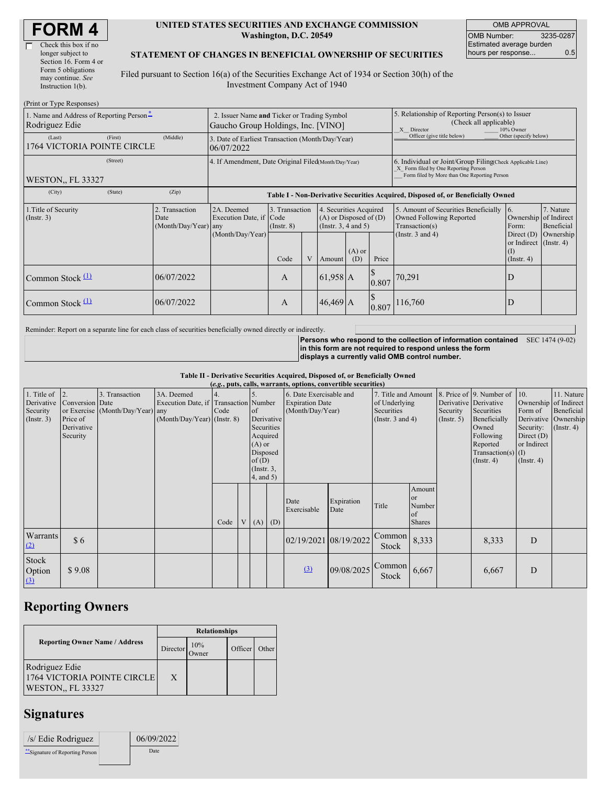| Check this box if no  |
|-----------------------|
| longer subject to     |
| Section 16. Form 4 or |
| Form 5 obligations    |
| may continue. See     |
| Instruction 1(b).     |
|                       |

#### **UNITED STATES SECURITIES AND EXCHANGE COMMISSION Washington, D.C. 20549**

OMB APPROVAL OMB Number: 3235-0287 Estimated average burden hours per response... 0.5

### **STATEMENT OF CHANGES IN BENEFICIAL OWNERSHIP OF SECURITIES**

Filed pursuant to Section 16(a) of the Securities Exchange Act of 1934 or Section 30(h) of the Investment Company Act of 1940

| (Print or Type Responses)                                    |                                                                |                      |                                                                                   |                                   |   |                                                                              |                                                                                                                                                    |                       |                                                                                                       |                                                                         |                         |  |
|--------------------------------------------------------------|----------------------------------------------------------------|----------------------|-----------------------------------------------------------------------------------|-----------------------------------|---|------------------------------------------------------------------------------|----------------------------------------------------------------------------------------------------------------------------------------------------|-----------------------|-------------------------------------------------------------------------------------------------------|-------------------------------------------------------------------------|-------------------------|--|
| 1. Name and Address of Reporting Person-<br>Rodriguez Edie   |                                                                |                      | 2. Issuer Name and Ticker or Trading Symbol<br>Gaucho Group Holdings, Inc. [VINO] |                                   |   |                                                                              |                                                                                                                                                    |                       | 5. Relationship of Reporting Person(s) to Issuer<br>(Check all applicable)<br>X Director<br>10% Owner |                                                                         |                         |  |
| (Last)<br>1764 VICTORIA POINTE CIRCLE                        | 3. Date of Earliest Transaction (Month/Day/Year)<br>06/07/2022 |                      |                                                                                   |                                   |   |                                                                              | Officer (give title below)                                                                                                                         | Other (specify below) |                                                                                                       |                                                                         |                         |  |
| <b>WESTON., FL 33327</b>                                     | 4. If Amendment, Date Original Filed(Month/Day/Year)           |                      |                                                                                   |                                   |   |                                                                              | 6. Individual or Joint/Group Filing Check Applicable Line)<br>X Form filed by One Reporting Person<br>Form filed by More than One Reporting Person |                       |                                                                                                       |                                                                         |                         |  |
| (City)                                                       | (State)                                                        | (Zip)                | Table I - Non-Derivative Securities Acquired, Disposed of, or Beneficially Owned  |                                   |   |                                                                              |                                                                                                                                                    |                       |                                                                                                       |                                                                         |                         |  |
| 1. Title of Security<br>2. Transaction<br>(Instr. 3)<br>Date |                                                                | (Month/Day/Year) any | 2A. Deemed<br>Execution Date, if Code                                             | 3. Transaction<br>$($ Instr. $8)$ |   | 4. Securities Acquired<br>$(A)$ or Disposed of $(D)$<br>(Insert. 3, 4 and 5) |                                                                                                                                                    |                       | 5. Amount of Securities Beneficially<br>Owned Following Reported<br>Transaction(s)                    | 16.<br>Ownership of Indirect<br>Form:                                   | 7. Nature<br>Beneficial |  |
|                                                              |                                                                |                      | (Month/Day/Year)                                                                  | Code                              | V | Amount                                                                       | $(A)$ or<br>(D)                                                                                                                                    | Price                 | (Instr. $3$ and $4$ )                                                                                 | Direct $(D)$<br>or Indirect (Instr. 4)<br>$(\mathrm{I})$<br>(Insert. 4) | Ownership               |  |
| Common Stock $(1)$                                           |                                                                | 06/07/2022           |                                                                                   | A                                 |   | 61,958 A                                                                     |                                                                                                                                                    | 0.807                 | 70,291                                                                                                | D                                                                       |                         |  |
| Common Stock $(1)$                                           |                                                                | 06/07/2022           |                                                                                   | A                                 |   | $46,469$ A                                                                   |                                                                                                                                                    | 0.807                 | 116,760                                                                                               | D                                                                       |                         |  |

Reminder: Report on a separate line for each class of securities beneficially owned directly or indirectly.

**Persons who respond to the collection of information contained** SEC 1474 (9-02) **in this form are not required to respond unless the form displays a currently valid OMB control number.**

**Table II - Derivative Securities Acquired, Disposed of, or Beneficially Owned**

|                                                                 | (e.g., puts, calls, warrants, options, convertible securities) |                                                    |                                                                                      |                          |  |                                                                                                                          |  |                                                                       |                    |                                                                             |                                                          |                                                  |                                                                                                                                      |                                                                                              |                                                                                    |
|-----------------------------------------------------------------|----------------------------------------------------------------|----------------------------------------------------|--------------------------------------------------------------------------------------|--------------------------|--|--------------------------------------------------------------------------------------------------------------------------|--|-----------------------------------------------------------------------|--------------------|-----------------------------------------------------------------------------|----------------------------------------------------------|--------------------------------------------------|--------------------------------------------------------------------------------------------------------------------------------------|----------------------------------------------------------------------------------------------|------------------------------------------------------------------------------------|
| 1. Title of $\vert$ 2.<br>Derivative<br>Security<br>(Insert. 3) | Conversion Date<br>Price of<br>Derivative<br>Security          | 3. Transaction<br>or Exercise (Month/Day/Year) any | 3A. Deemed<br>Execution Date, if Transaction Number<br>$(Month/Day/Year)$ (Instr. 8) | $\overline{4}$ .<br>Code |  | 5.<br>$\circ$ f<br>Derivative<br>Securities<br>Acquired<br>$(A)$ or<br>Disposed<br>of(D)<br>$($ Instr. $3,$<br>4, and 5) |  | 6. Date Exercisable and<br><b>Expiration Date</b><br>(Month/Day/Year) |                    | 7. Title and Amount<br>of Underlying<br>Securities<br>(Instr. $3$ and $4$ ) |                                                          | Derivative Derivative<br>Security<br>(Insert. 5) | 8. Price of 9. Number of<br>Securities<br>Beneficially<br>Owned<br>Following<br>Reported<br>Transaction(s) $(I)$<br>$($ Instr. 4 $)$ | 10.<br>Form of<br>Derivative<br>Security:<br>Direct $(D)$<br>or Indirect<br>$($ Instr. 4 $)$ | 11. Nature<br>Ownership of Indirect<br>Beneficial<br>Ownership<br>$($ Instr. 4 $)$ |
|                                                                 |                                                                |                                                    |                                                                                      | Code                     |  | $V(A)$ (D)                                                                                                               |  | Date<br>Exercisable                                                   | Expiration<br>Date | Title                                                                       | Amount<br><sub>or</sub><br>Number<br>of<br><b>Shares</b> |                                                  |                                                                                                                                      |                                                                                              |                                                                                    |
| <b>Warrants</b><br>(2)                                          | \$6                                                            |                                                    |                                                                                      |                          |  |                                                                                                                          |  | 02/19/2021 08/19/2022                                                 |                    | Common<br>Stock                                                             | 8,333                                                    |                                                  | 8,333                                                                                                                                | D                                                                                            |                                                                                    |
| Stock<br>Option<br>$\left(3\right)$                             | \$9.08                                                         |                                                    |                                                                                      |                          |  |                                                                                                                          |  | (3)                                                                   | 09/08/2025         | Common<br>Stock                                                             | 6,667                                                    |                                                  | 6,667                                                                                                                                | D                                                                                            |                                                                                    |

# **Reporting Owners**

|                                                                    | <b>Relationships</b> |              |         |       |  |  |  |  |
|--------------------------------------------------------------------|----------------------|--------------|---------|-------|--|--|--|--|
| <b>Reporting Owner Name / Address</b>                              | Director             | 10%<br>Dwner | Officer | Other |  |  |  |  |
| Rodriguez Edie<br>1764 VICTORIA POINTE CIRCLE<br>WESTON., FL 33327 | X                    |              |         |       |  |  |  |  |

## **Signatures**

| /s/ Edie Rodriguez             | 06/09/2022 |  |
|--------------------------------|------------|--|
| "Signature of Reporting Person | Date       |  |